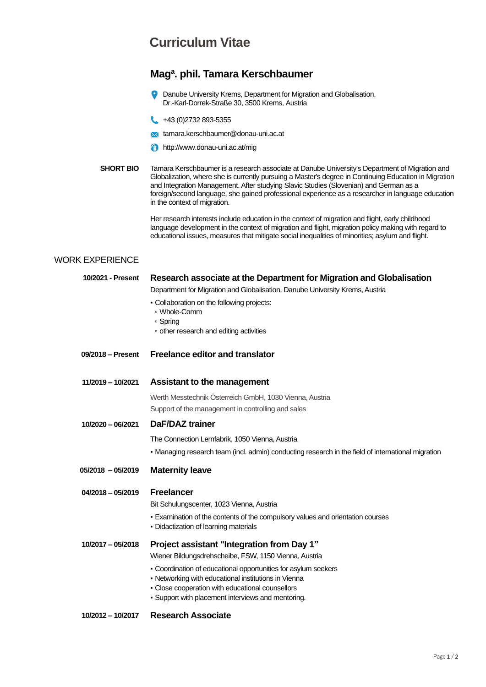## **Curriculum Vitae**

### **Mag<sup>a</sup> . phil. Tamara Kerschbaumer**

- Danube University Krems, Department for Migration and Globalisation, Dr.-Karl-Dorrek-Straße 30, 3500 Krems, Austria
- **43 (0)2732 893-5355**
- **X** tamara.kerschbaumer@donau-uni.ac.at
- **f** http://www.donau-uni.ac.at/mig
- **SHORT BIO** Tamara Kerschbaumer is a research associate at Danube University's Department of Migration and Globalization, where she is currently pursuing a Master's degree in Continuing Education in Migration and Integration Management. After studying Slavic Studies (Slovenian) and German as a foreign/second language, she gained professional experience as a researcher in language education in the context of migration.

Her research interests include education in the context of migration and flight, early childhood language development in the context of migration and flight, migration policy making with regard to educational issues, measures that mitigate social inequalities of minorities; asylum and flight.

#### WORK EXPERIENCE

## **10/2021 - Present Research associate at the Department for Migration and Globalisation** Department for Migration and Globalisation, Danube University Krems, Austria ▪ Collaboration on the following projects: ▫ Whole-Comm ▫ Spring ▫ other research and editing activities **09/2018 – Present Freelance editor and translator 11/2019 – 10/2021 Assistant to the management** Werth Messtechnik Österreich GmbH, 1030 Vienna, Austria Support of the management in controlling and sales **10/2020 – 06/2021 DaF/DAZ trainer** The Connection Lernfabrik, 1050 Vienna, Austria ▪ Managing research team (incl. admin) conducting research in the field of international migration **05/2018 – 05/2019 Maternity leave 04/2018 – 05/2019 Freelancer** Bit Schulungscenter, 1023 Vienna, Austria **Examination of the contents of the compulsory values and orientation courses** ▪ Didactization of learning materials **10/2017 – 05/2018 Project assistant "Integration from Day 1"** Wiener Bildungsdrehscheibe, FSW, 1150 Vienna, Austria ▪ Coordination of educational opportunities for asylum seekers ▪ Networking with educational institutions in Vienna ▪ Close cooperation with educational counsellors ▪ Support with placement interviews and mentoring.